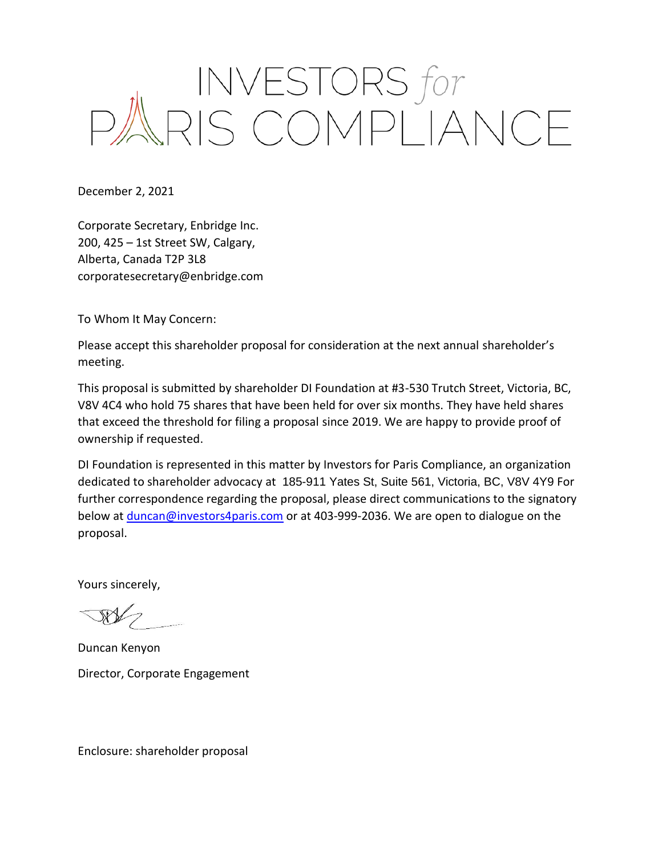## INVESTORS for<br>PARIS COMPLIANCE

December 2, 2021

Corporate Secretary, Enbridge Inc. 200, 425 – 1st Street SW, Calgary, Alberta, Canada T2P 3L8 corporatesecretary@enbridge.com

To Whom It May Concern:

Please accept this shareholder proposal for consideration at the next annual shareholder's meeting.

This proposal is submitted by shareholder DI Foundation at #3-530 Trutch Street, Victoria, BC, V8V 4C4 who hold 75 shares that have been held for over six months. They have held shares that exceed the threshold for filing a proposal since 2019. We are happy to provide proof of ownership if requested.

DI Foundation is represented in this matter by Investors for Paris Compliance, an organization dedicated to shareholder advocacy at 185-911 Yates St, Suite 561, Victoria, BC, V8V 4Y9 For further correspondence regarding the proposal, please direct communications to the signatory below at *duncan@investors4paris.com* or at 403-999-2036. We are open to dialogue on the proposal.

Yours sincerely,

 $\sqrt{N}$ 

Duncan Kenyon Director, Corporate Engagement

Enclosure: shareholder proposal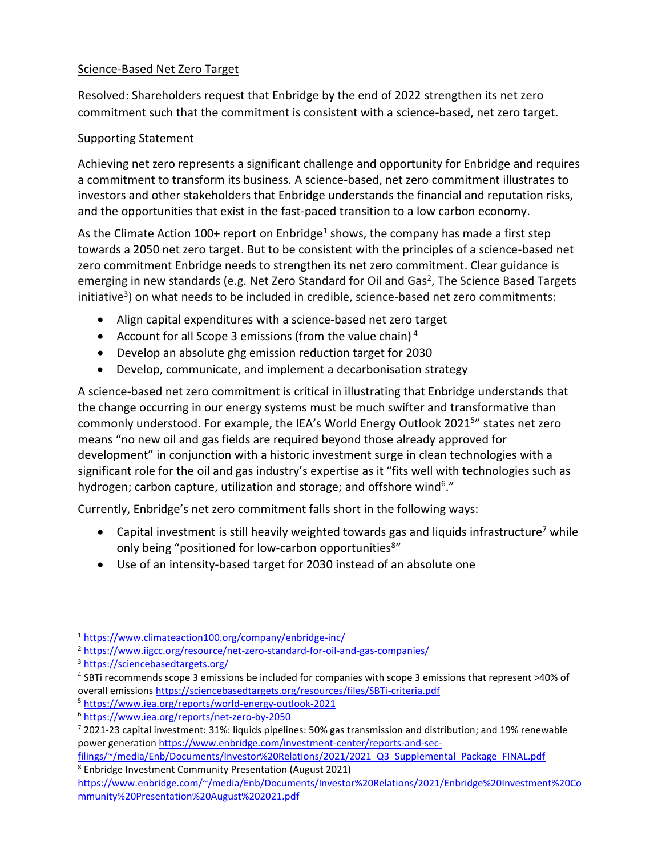## Science-Based Net Zero Target

Resolved: Shareholders request that Enbridge by the end of 2022 strengthen its net zero commitment such that the commitment is consistent with a science-based, net zero target.

## Supporting Statement

Achieving net zero represents a significant challenge and opportunity for Enbridge and requires a commitment to transform its business. A science-based, net zero commitment illustrates to investors and other stakeholders that Enbridge understands the financial and reputation risks, and the opportunities that exist in the fast-paced transition to a low carbon economy.

As the Climate Action 100+ report on Enbridge<sup>1</sup> shows, the company has made a first step towards a 2050 net zero target. But to be consistent with the principles of a science-based net zero commitment Enbridge needs to strengthen its net zero commitment. Clear guidance is emerging in new standards (e.g. Net Zero Standard for Oil and Gas<sup>2</sup>, The Science Based Targets initiative<sup>3</sup>) on what needs to be included in credible, science-based net zero commitments:

- Align capital expenditures with a science-based net zero target
- Account for all Scope 3 emissions (from the value chain)<sup>4</sup>
- Develop an absolute ghg emission reduction target for 2030
- Develop, communicate, and implement a decarbonisation strategy

A science-based net zero commitment is critical in illustrating that Enbridge understands that the change occurring in our energy systems must be much swifter and transformative than commonly understood. For example, the IEA's World Energy Outlook 2021<sup>5</sup>" states net zero means "no new oil and gas fields are required beyond those already approved for development" in conjunction with a historic investment surge in clean technologies with a significant role for the oil and gas industry's expertise as it "fits well with technologies such as hydrogen; carbon capture, utilization and storage; and offshore wind<sup>6</sup>."

Currently, Enbridge's net zero commitment falls short in the following ways:

- Capital investment is still heavily weighted towards gas and liquids infrastructure<sup>7</sup> while only being "positioned for low-carbon opportunities<sup>8"</sup>
- Use of an intensity-based target for 2030 instead of an absolute one

- 4 SBTi recommends scope 3 emissions be included for companies with scope 3 emissions that represent >40% of overall emissions<https://sciencebasedtargets.org/resources/files/SBTi-criteria.pdf>
- <sup>5</sup> <https://www.iea.org/reports/world-energy-outlook-2021>

<sup>1</sup> <https://www.climateaction100.org/company/enbridge-inc/>

<sup>&</sup>lt;sup>2</sup> <https://www.iigcc.org/resource/net-zero-standard-for-oil-and-gas-companies/>

<sup>3</sup> <https://sciencebasedtargets.org/>

<sup>6</sup> <https://www.iea.org/reports/net-zero-by-2050>

<sup>7</sup> 2021-23 capital investment: 31%: liquids pipelines: 50% gas transmission and distribution; and 19% renewable power generation [https://www.enbridge.com/investment-center/reports-and-sec-](https://www.enbridge.com/investment-center/reports-and-sec-filings/~/media/Enb/Documents/Investor%20Relations/2021/2021_Q3_Supplemental_Package_FINAL.pdf)

[filings/~/media/Enb/Documents/Investor%20Relations/2021/2021\\_Q3\\_Supplemental\\_Package\\_FINAL.pdf](https://www.enbridge.com/investment-center/reports-and-sec-filings/~/media/Enb/Documents/Investor%20Relations/2021/2021_Q3_Supplemental_Package_FINAL.pdf) <sup>8</sup> Enbridge Investment Community Presentation (August 2021)

[https://www.enbridge.com/~/media/Enb/Documents/Investor%20Relations/2021/Enbridge%20Investment%20Co](https://www.enbridge.com/~/media/Enb/Documents/Investor%20Relations/2021/Enbridge%20Investment%20Community%20Presentation%20August%202021.pdf) [mmunity%20Presentation%20August%202021.pdf](https://www.enbridge.com/~/media/Enb/Documents/Investor%20Relations/2021/Enbridge%20Investment%20Community%20Presentation%20August%202021.pdf)